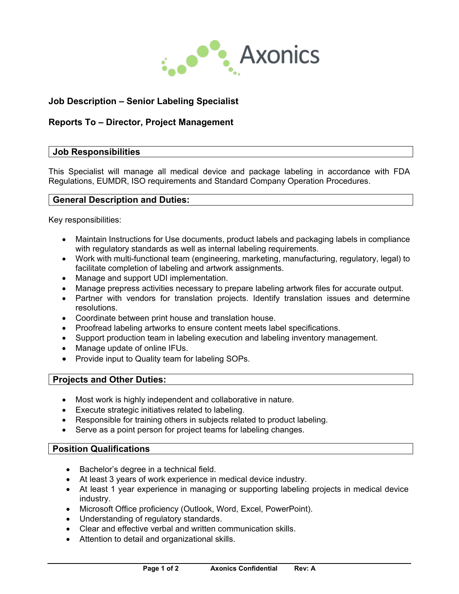

# **Job Description – Senior Labeling Specialist**

## **Reports To – Director, Project Management**

## **Job Responsibilities**

This Specialist will manage all medical device and package labeling in accordance with FDA Regulations, EUMDR, ISO requirements and Standard Company Operation Procedures.

## **General Description and Duties:**

Key responsibilities:

- Maintain Instructions for Use documents, product labels and packaging labels in compliance with regulatory standards as well as internal labeling requirements.
- Work with multi-functional team (engineering, marketing, manufacturing, regulatory, legal) to facilitate completion of labeling and artwork assignments.
- Manage and support UDI implementation.
- Manage prepress activities necessary to prepare labeling artwork files for accurate output.
- Partner with vendors for translation projects. Identify translation issues and determine resolutions.
- Coordinate between print house and translation house.
- Proofread labeling artworks to ensure content meets label specifications.
- Support production team in labeling execution and labeling inventory management.
- Manage update of online IFUs.
- Provide input to Quality team for labeling SOPs.

#### **Projects and Other Duties:**

- Most work is highly independent and collaborative in nature.
- Execute strategic initiatives related to labeling.
- Responsible for training others in subjects related to product labeling.
- Serve as a point person for project teams for labeling changes.

#### **Position Qualifications**

- Bachelor's degree in a technical field.
- At least 3 years of work experience in medical device industry.
- At least 1 year experience in managing or supporting labeling projects in medical device industry.
- Microsoft Office proficiency (Outlook, Word, Excel, PowerPoint).
- Understanding of regulatory standards.
- Clear and effective verbal and written communication skills.
- Attention to detail and organizational skills.